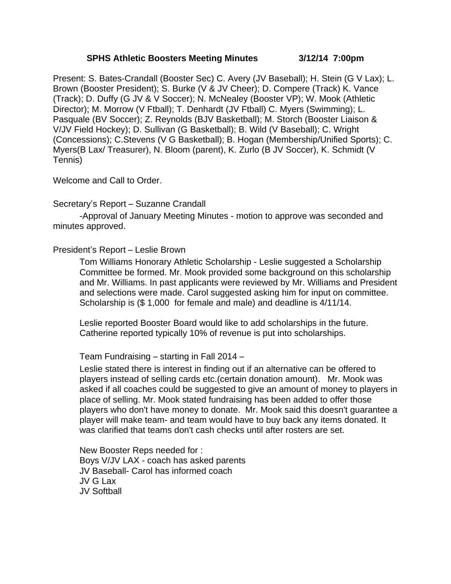#### **SPHS Athletic Boosters Meeting Minutes 3/12/14 7:00pm**

Present: S. Bates-Crandall (Booster Sec) C. Avery (JV Baseball); H. Stein (G V Lax); L. Brown (Booster President); S. Burke (V & JV Cheer); D. Compere (Track) K. Vance (Track); D. Duffy (G JV & V Soccer); N. McNealey (Booster VP); W. Mook (Athletic Director); M. Morrow (V Ftball); T. Denhardt (JV Ftball) C. Myers (Swimming); L. Pasquale (BV Soccer); Z. Reynolds (BJV Basketball); M. Storch (Booster Liaison & V/JV Field Hockey); D. Sullivan (G Basketball); B. Wild (V Baseball); C. Wright (Concessions); C.Stevens (V G Basketball); B. Hogan (Membership/Unified Sports); C. Myers(B Lax/ Treasurer), N. Bloom (parent), K. Zurlo (B JV Soccer), K. Schmidt (V Tennis)

Welcome and Call to Order.

Secretary's Report – Suzanne Crandall

 -Approval of January Meeting Minutes - motion to approve was seconded and minutes approved.

President's Report – Leslie Brown

Tom Williams Honorary Athletic Scholarship - Leslie suggested a Scholarship Committee be formed. Mr. Mook provided some background on this scholarship and Mr. Williams. In past applicants were reviewed by Mr. Williams and President and selections were made. Carol suggested asking him for input on committee. Scholarship is (\$ 1,000 for female and male) and deadline is 4/11/14.

Leslie reported Booster Board would like to add scholarships in the future. Catherine reported typically 10% of revenue is put into scholarships.

Team Fundraising – starting in Fall 2014 –

Leslie stated there is interest in finding out if an alternative can be offered to players instead of selling cards etc.(certain donation amount). Mr. Mook was asked if all coaches could be suggested to give an amount of money to players in place of selling. Mr. Mook stated fundraising has been added to offer those players who don't have money to donate. Mr. Mook said this doesn't guarantee a player will make team- and team would have to buy back any items donated. It was clarified that teams don't cash checks until after rosters are set.

New Booster Reps needed for : Boys V/JV LAX - coach has asked parents JV Baseball- Carol has informed coach JV G Lax JV Softball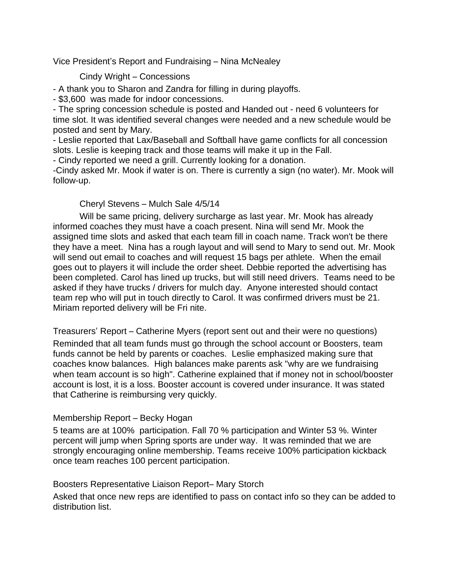Vice President's Report and Fundraising – Nina McNealey

# Cindy Wright – Concessions

- A thank you to Sharon and Zandra for filling in during playoffs.

- \$3,600 was made for indoor concessions.

- The spring concession schedule is posted and Handed out - need 6 volunteers for time slot. It was identified several changes were needed and a new schedule would be posted and sent by Mary.

- Leslie reported that Lax/Baseball and Softball have game conflicts for all concession slots. Leslie is keeping track and those teams will make it up in the Fall.

- Cindy reported we need a grill. Currently looking for a donation.

-Cindy asked Mr. Mook if water is on. There is currently a sign (no water). Mr. Mook will follow-up.

# Cheryl Stevens – Mulch Sale 4/5/14

Will be same pricing, delivery surcharge as last year. Mr. Mook has already informed coaches they must have a coach present. Nina will send Mr. Mook the assigned time slots and asked that each team fill in coach name. Track won't be there they have a meet. Nina has a rough layout and will send to Mary to send out. Mr. Mook will send out email to coaches and will request 15 bags per athlete. When the email goes out to players it will include the order sheet. Debbie reported the advertising has been completed. Carol has lined up trucks, but will still need drivers. Teams need to be asked if they have trucks / drivers for mulch day. Anyone interested should contact team rep who will put in touch directly to Carol. It was confirmed drivers must be 21. Miriam reported delivery will be Fri nite.

Treasurers' Report – Catherine Myers (report sent out and their were no questions) Reminded that all team funds must go through the school account or Boosters, team funds cannot be held by parents or coaches. Leslie emphasized making sure that coaches know balances. High balances make parents ask "why are we fundraising when team account is so high". Catherine explained that if money not in school/booster account is lost, it is a loss. Booster account is covered under insurance. It was stated that Catherine is reimbursing very quickly.

# Membership Report – Becky Hogan

5 teams are at 100% participation. Fall 70 % participation and Winter 53 %. Winter percent will jump when Spring sports are under way. It was reminded that we are strongly encouraging online membership. Teams receive 100% participation kickback once team reaches 100 percent participation.

#### Boosters Representative Liaison Report– Mary Storch

Asked that once new reps are identified to pass on contact info so they can be added to distribution list.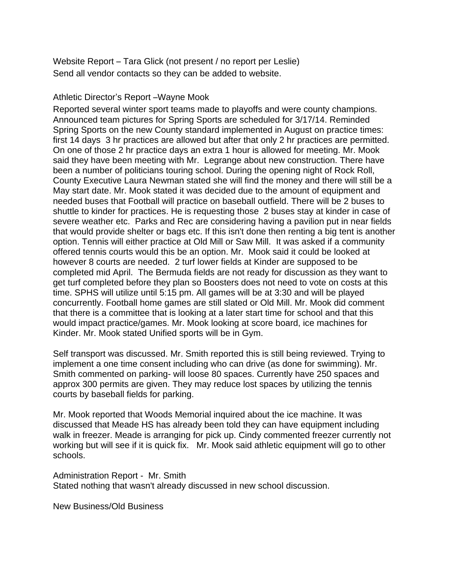Website Report – Tara Glick (not present / no report per Leslie) Send all vendor contacts so they can be added to website.

#### Athletic Director's Report –Wayne Mook

Reported several winter sport teams made to playoffs and were county champions. Announced team pictures for Spring Sports are scheduled for 3/17/14. Reminded Spring Sports on the new County standard implemented in August on practice times: first 14 days 3 hr practices are allowed but after that only 2 hr practices are permitted. On one of those 2 hr practice days an extra 1 hour is allowed for meeting. Mr. Mook said they have been meeting with Mr. Legrange about new construction. There have been a number of politicians touring school. During the opening night of Rock Roll, County Executive Laura Newman stated she will find the money and there will still be a May start date. Mr. Mook stated it was decided due to the amount of equipment and needed buses that Football will practice on baseball outfield. There will be 2 buses to shuttle to kinder for practices. He is requesting those 2 buses stay at kinder in case of severe weather etc. Parks and Rec are considering having a pavilion put in near fields that would provide shelter or bags etc. If this isn't done then renting a big tent is another option. Tennis will either practice at Old Mill or Saw Mill. It was asked if a community offered tennis courts would this be an option. Mr. Mook said it could be looked at however 8 courts are needed. 2 turf lower fields at Kinder are supposed to be completed mid April. The Bermuda fields are not ready for discussion as they want to get turf completed before they plan so Boosters does not need to vote on costs at this time. SPHS will utilize until 5:15 pm. All games will be at 3:30 and will be played concurrently. Football home games are still slated or Old Mill. Mr. Mook did comment that there is a committee that is looking at a later start time for school and that this would impact practice/games. Mr. Mook looking at score board, ice machines for Kinder. Mr. Mook stated Unified sports will be in Gym.

Self transport was discussed. Mr. Smith reported this is still being reviewed. Trying to implement a one time consent including who can drive (as done for swimming). Mr. Smith commented on parking- will loose 80 spaces. Currently have 250 spaces and approx 300 permits are given. They may reduce lost spaces by utilizing the tennis courts by baseball fields for parking.

Mr. Mook reported that Woods Memorial inquired about the ice machine. It was discussed that Meade HS has already been told they can have equipment including walk in freezer. Meade is arranging for pick up. Cindy commented freezer currently not working but will see if it is quick fix. Mr. Mook said athletic equipment will go to other schools.

Administration Report - Mr. Smith Stated nothing that wasn't already discussed in new school discussion.

New Business/Old Business